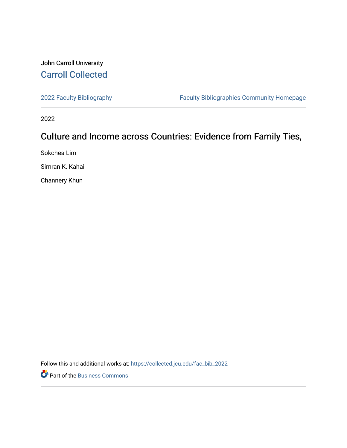## John Carroll University [Carroll Collected](https://collected.jcu.edu/)

[2022 Faculty Bibliography](https://collected.jcu.edu/fac_bib_2022) [Faculty Bibliographies Community Homepage](https://collected.jcu.edu/fac_bib_home) 

2022

# Culture and Income across Countries: Evidence from Family Ties,

Sokchea Lim

Simran K. Kahai

Channery Khun

Follow this and additional works at: [https://collected.jcu.edu/fac\\_bib\\_2022](https://collected.jcu.edu/fac_bib_2022?utm_source=collected.jcu.edu%2Ffac_bib_2022%2F6&utm_medium=PDF&utm_campaign=PDFCoverPages) 

Part of the [Business Commons](https://network.bepress.com/hgg/discipline/622?utm_source=collected.jcu.edu%2Ffac_bib_2022%2F6&utm_medium=PDF&utm_campaign=PDFCoverPages)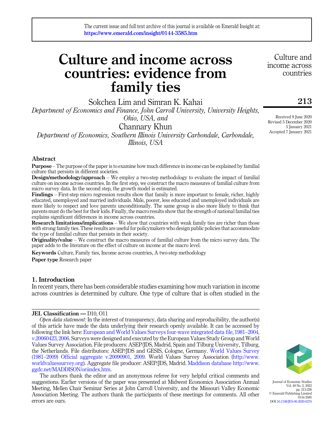# Culture and income across countries: evidence from family ties

Sokchea Lim and Simran K. Kahai

Department of Economics and Finance, John Carroll University, University Heights, Ohio, USA, and

Channary Khun

Department of Economics, Southern Illinois University Carbondale, Carbondale, Illinois, USA

#### Abstract

Purpose – The purpose of the paper is to examine how much difference in income can be explained by familial culture that persists in different societies.

Design/methodology/approach – We employ a two-step methodology to evaluate the impact of familial culture on income across countries. In the first step, we construct the macro measures of familial culture from micro survey data. In the second step, the growth model is estimated.

Findings – First-step micro regression results show that family is more important to female, richer, highly educated, unemployed and married individuals. Male, poorer, less educated and unemployed individuals are more likely to respect and love parents unconditionally. The same group is also more likely to think that parents must do the best for their kids. Finally, the macro results show that the strength of national familial ties explains significant differences in income across countries.

Research limitations/implications – We show that countries with weak family ties are richer than those with strong family ties. These results are useful for policymakers who design public policies that accommodate the type of familial culture that persists in their society.

Originality/value – We construct the macro measures of familial culture from the micro survey data. The paper adds to the literature on the effect of culture on income at the macro level.

Keywords Culture, Family ties, Income across countries, A two-step methodology

Paper type Research paper

#### 1. Introduction

In recent years, there has been considerable studies examining how much variation in income across countries is determined by culture. One type of culture that is often studied in the

#### JEL Classification — D10, O11

Open data statement: In the interest of transparency, data sharing and reproducibility, the author(s) of this article have made the data underlying their research openly available. It can be accessed by following the link here: [European and World Values Surveys four-wave integrated data file, 1981](#page-13-0)–[2004,](#page-13-0) [v.20060423, 2006.](#page-13-0) Surveys were designed and executed by the European Values Study Group and World Values Survey Association. File producers: ASEP/JDS, Madrid, Spain and Tilburg University, Tilburg, the Netherlands. File distributors: ASEP/JDS and GESIS, Cologne, Germany. [World Values Survey](#page-14-0) [\(1981](#page-14-0)–[2009\) Official aggregate v.20090901, 2009.](#page-14-0) World Values Survey Association ([http://www.](http://www.worldvaluessurvey.org) [worldvaluessurvey.org](http://www.worldvaluessurvey.org)). Aggregate file producer: ASEP/JDS, Madrid. [Maddison database](#page-13-1) [http://www.](http://www.ggdc.net/MADDISON/oriindex.htm) [ggdc.net/MADDISON/oriindex.htm.](http://www.ggdc.net/MADDISON/oriindex.htm)

The authors thank the editor and an anonymous referee for very helpful critical comments and suggestions. Earlier versions of the paper was presented at Midwest Economics Association Annual Meeting, Mellen Chair Seminar Series at John Carroll University, and the Missouri Valley Economic Association Meeting. The authors thank the participants of these meetings for comments. All other errors are ours.

Journal of Economic Studies

Vol. 49 No. 2, 2022 pp. 213-226 © Emerald Publishing Limited 0144-3585 DOI [10.1108/JES-06-2020-0276](https://doi.org/10.1108/JES-06-2020-0276)

Received 9 June 2020 Revised 5 December 2020 5 January 2021 Accepted 7 January 2021

213

Culture and income across countries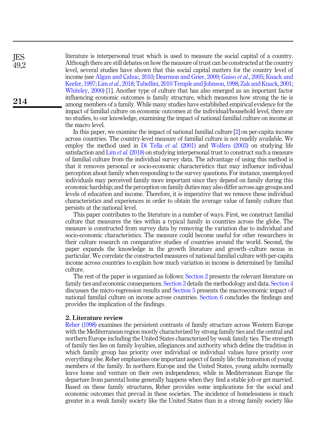literature is interpersonal trust which is used to measure the social capital of a country. Although there are still debates on how the measure of trust can be constructed at the country level, several studies have shown that this social capital matters for the country level of income (see [Algan and Cahuc, 2010;](#page-13-2) [Dearmon and Grier, 2009](#page-13-3); Guiso et al[., 2005;](#page-13-4) [Knack and](#page-13-5) [Keefer, 1997](#page-13-5); Lim et al.[, 2018](#page-13-6); [Tabellini, 2010](#page-14-1) [Temple and Johnson, 1998;](#page-14-2) [Zak and Knack, 2001](#page-14-3); [Whiteley, 2000](#page-14-4)) [[1](#page-12-0)]. Another type of culture that has also emerged as an important factor influencing economic outcomes is family structure, which measures how strong the tie is among members of a family. While many studies have established empirical evidence for the impact of familial culture on economic outcomes at the individual/household level, there are no studies, to our knowledge, examining the impact of national familial culture on income at the macro level.

In this paper, we examine the impact of national familial culture [[2\]](#page-12-1) on per-capita income across countries. The country-level measure of familial culture is not readily available. We employ the method used in [Di Tella](#page-13-7) *et al.* (2001) and [Wolfers \(2003\)](#page-14-5) on studying life satisfaction and Lim *et al.* [\(2018\)](#page-13-6) on studying interpersonal trust to construct such a measure of familial culture from the individual survey data. The advantage of using this method is that it removes personal or socio-economic characteristics that may influence individual perception about family when responding to the survey questions. For instance, unemployed individuals may perceived family more important since they depend on family during this economic hardship; and the perception on family duties may also differ across age groups and levels of education and income. Therefore, it is imperative that we remove these individual characteristics and experiences in order to obtain the average value of family culture that persists at the national level.

This paper contributes to the literature in a number of ways. First, we construct familial culture that measures the ties within a typical family in countries across the globe. The measure is constructed from survey data by removing the variation due to individual and socio-economic characteristics. The measure could become useful for other researchers in their culture research on comparative studies of countries around the world. Second, the paper expands the knowledge in the growth literature and growth–culture nexus in particular. We correlate the constructed measures of national familial culture with per-capita income across countries to explain how much variation in income is determined by familial culture.

The rest of the paper is organized as follows: [Section 2](#page-2-0) presents the relevant literature on family ties and economic consequences. [Section 3](#page-4-0) details the methodology and data. [Section 4](#page-6-0) discusses the micro-regression results and [Section 5](#page-9-0) presents the macroeconomic impact of national familial culture on income across countries. [Section 6](#page-12-2) concludes the findings and provides the implication of the findings.

#### <span id="page-2-0"></span>2. Literature review

[Reher \(1998\)](#page-13-8) examines the persistent contrasts of family structure across Western Europe with the Mediterranean region mostly characterized by strong family ties and the central and northern Europe including the United States characterized by weak family ties. The strength of family ties lies on family loyalties, allegiances and authority which define the tradition in which family group has priority over individual or individual values have priority over everything else. Reher emphasizes one important aspect of family life: the transition of young members of the family. In northern Europe and the United States, young adults normally leave home and venture on their own independence, while in Mediterranean Europe the departure from parental home generally happens when they find a stable job or get married. Based on these family structures, Reher provides some implications for the social and economic outcomes that prevail in these societies. The incidence of homelessness is much greater in a weak family society like the United States than in a strong family society like

214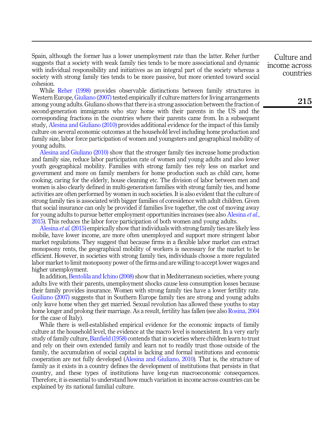Spain, although the former has a lower unemployment rate than the latter. Reher further suggests that a society with weak family ties tends to be more associational and dynamic with individual responsibility and initiatives as an integral part of the society whereas a society with strong family ties tends to be more passive, but more oriented toward social cohesion.

While [Reher \(1998\)](#page-13-8) provides observable distinctions between family structures in Western Europe, [Giuliano \(2007\)](#page-13-9) tested empirically if culture matters for living arrangements among young adults. Giuliano shows that there is a strong association between the fraction of second-generation immigrants who stay home with their parents in the US and the corresponding fractions in the countries where their parents came from. In a subsequent study, [Alesina and Giuliano \(2010\)](#page-12-3) provides additional evidence for the impact of this family culture on several economic outcomes at the household level including home production and family size, labor force participation of women and youngsters and geographical mobility of young adults.

[Alesina and Giuliano \(2010\)](#page-12-3) show that the stronger family ties increase home production and family size, reduce labor participation rate of women and young adults and also lower youth geographical mobility. Families with strong family ties rely less on market and government and more on family members for home production such as child care, home cooking, caring for the elderly, house cleaning etc. The division of labor between men and women is also clearly defined in multi-generation families with strong family ties, and home activities are often performed by women in such societies. It is also evident that the culture of strong family ties is associated with bigger families of coresidence with adult children. Given that social insurance can only be provided if families live together, the cost of moving away for young adults to pursue better employment opportunities increases (see also [Alesina](#page-12-4) *et al.*, [2015\)](#page-12-4). This reduces the labor force participation of both women and young adults.

[Alesina](#page-12-4) et al. (2015) empirically show that individuals with strong family ties are likely less mobile, have lower income, are more often unemployed and support more stringent labor market regulations. They suggest that because firms in a flexible labor market can extract monopsony rents, the geographical mobility of workers is necessary for the market to be efficient. However, in societies with strong family ties, individuals choose a more regulated labor market to limit monopsony power of the firms and are willing to accept lower wages and higher unemployment.

In addition, [Bentolila and Ichino \(2008\)](#page-13-10) show that in Mediterranean societies, where young adults live with their parents, unemployment shocks cause less consumption losses because their family provides insurance. Women with strong family ties have a lower fertility rate. [Guiliano \(2007\)](#page-13-9) suggests that in Southern Europe family ties are strong and young adults only leave home when they get married. Sexual revolution has allowed these youths to stay home longer and prolong their marriage. As a result, fertility has fallen (see also [Rosina, 2004](#page-13-11) for the case of Italy).

While there is well-established empirical evidence for the economic impacts of family culture at the household level, the evidence at the macro level is nonexistent. In a very early study of family culture, [Banfield \(1958\)](#page-13-12) contends that in societies where children learn to trust and rely on their own extended family and learn not to readily trust those outside of the family, the accumulation of social capital is lacking and formal institutions and economic cooperation are not fully developed [\(Alesina and Giuliano, 2010](#page-12-3)). That is, the structure of family as it exists in a country defines the development of institutions that persists in that country, and these types of institutions have long-run macroeconomic consequences. Therefore, it is essential to understand how much variation in income across countries can be explained by its national familial culture.

Culture and income across countries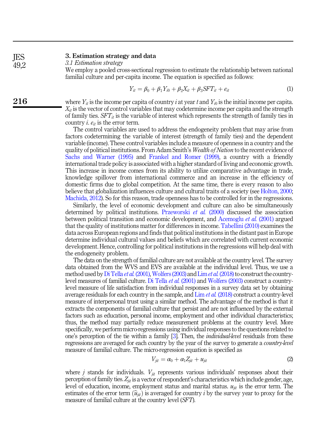#### 3. Estimation strategy and data JES

49,2

216

3.1 Estimation strategy

<span id="page-4-2"></span><span id="page-4-0"></span>We employ a pooled cross-sectional regression to estimate the relationship between national familial culture and per-capita income. The equation is specified as follows:

$$
Y_{it} = \beta_0 + \beta_1 Y_{i0} + \beta_2 X_{it} + \beta_3 SFT_{it} + e_{it}
$$
 (1)

where  $Y_{it}$  is the income per capita of country i at year t and  $Y_{i0}$  is the initial income per capita.  $X_{it}$  is the vector of control variables that may codetermine income per capita and the strength of family ties.  $SFT_{it}$  is the variable of interest which represents the strength of family ties in country *i.*  $e_{it}$  is the error term.

The control variables are used to address the endogeneity problem that may arise from factors codetermining the variable of interest (strength of family ties) and the dependent variable (income). These control variables include a measure of openness in a country and the quality of political institutions. From Adam Smith's Wealth of Nation to the recent evidence of [Sachs and Warner \(1995\)](#page-13-13) and [Frankel and Romer \(1999\),](#page-13-14) a country with a friendly international trade policy is associated with a higher standard of living and economic growth. This increase in income comes from its ability to utilize comparative advantage in trade, knowledge spillover from international commerce and an increase in the efficiency of domestic firms due to global competition. At the same time, there is every reason to also believe that globalization influences culture and cultural traits of a society (see [Holton, 2000](#page-13-15); [Machida, 2012\)](#page-13-16). So for this reason, trade openness has to be controlled for in the regressions.

Similarly, the level of economic development and culture can also be simultaneously determined by political institutions. [Przeworski](#page-13-17) et al. (2000) discussed the association between political transition and economic development, and [Acemoglu](#page-12-5) et al. (2001) argued that the quality of institutions matter for differences in income. [Tabellini \(2010\)](#page-14-1) examines the data across European regions and finds that political institutions in the distant past in Europe determine individual cultural values and beliefs which are correlated with current economic development. Hence, controlling for political institutions in the regressions will help deal with the endogeneity problem.

The data on the strength of familial culture are not available at the country level. The survey data obtained from the WVS and EVS are available at the individual level. Thus, we use a method used by [Di Tella](#page-13-7) *et al.* (2001), [Wolfers \(2003\)](#page-14-5) and Lim *et al.* [\(2018\)](#page-13-6) to construct the countrylevel measures of familial culture. [Di Tella](#page-13-7) et al. (2001) and [Wolfers \(2003\)](#page-14-5) construct a countrylevel measure of life satisfaction from individual responses in a survey data set by obtaining average residuals for each country in the sample, and  $\lim_{\epsilon \to 0} t$  al. [\(2018\)](#page-13-6) construct a country-level measure of interpersonal trust using a similar method. The advantage of the method is that it extracts the components of familial culture that persist and are not influenced by the external factors such as education, personal income, employment and other individual characteristics; thus, the method may partially reduce measurement problems at the country level. More specifically, we perform micro-regressions using individual responses to the questions related to one's perception of the tie within a family [[3\]](#page-12-6). Then, the *individual-level* residuals from these regressions are averaged for each country by the year of the survey to generate a country-level measure of familial culture. The micro-regression equation is specified as

$$
V_{jit} = \alpha_0 + \alpha_1 Z_{jit} + u_{jit}
$$
 (2)

<span id="page-4-1"></span>where *j* stands for individuals.  $V_{jit}$  represents various individuals' responses about their perception of family ties.  $Z_{jit}$  is a vector of respondent's characteristics which include gender, age, level of education, perception of family ties.  $Z_{jit}$  is a vector of respondent's characteristics which include gender, age, level of education, income, employment status and marital status.  $u_{ii}$  is the error term. The measure of familial culture at the country level (SFT).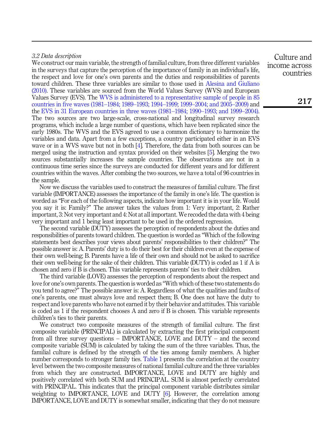### 3.2 Data description

We construct our main variable, the strength of familial culture, from three different variables in the surveys that capture the perception of the importance of family in an individual's life, the respect and love for one's own parents and the duties and responsibilities of parents toward children. These three variables are similar to those used in [Alesina and Giuliano](#page-12-3) [\(2010\).](#page-12-3) These variables are sourced from the World Values Survey (WVS) and European Values Survey (EVS). The [WVS is administered to a representative sample of people in 85](#page-14-0) [countries in five waves \(1981](#page-14-0)–[1984; 1989](#page-14-0)–[1993; 1994](#page-14-0)–[1999; 1999](#page-14-0)–[2004; and 2005](#page-14-0)–[2009\)](#page-14-0) and the [EVS in 31 European countries in three waves \(1981](#page-13-0)–[1984; 1990](#page-13-0)–[1993; and 1999](#page-13-0)–[2004\)](#page-13-0). The two sources are two large-scale, cross-national and longitudinal survey research programs, which include a large number of questions, which have been replicated since the early 1980s. The WVS and the EVS agreed to use a common dictionary to harmonize the variables and data. Apart from a few exceptions, a country participated either in an EVS wave or in a WVS wave but not in both [[4](#page-12-7)]. Therefore, the data from both sources can be merged using the instruction and syntax provided on their websites [[5](#page-12-8)]. Merging the two sources substantially increases the sample countries. The observations are not in a continuous time series since the surveys are conducted for different years and for different countries within the waves. After combing the two sources, we have a total of 96 countries in the sample.

Now we discuss the variables used to construct the measures of familial culture. The first variable (IMPORTANCE) assesses the importance of the family in one's life. The question is worded as "For each of the following aspects, indicate how important it is in your life. Would you say it is: Family?" The answer takes the values from 1: Very important, 2: Rather important, 3: Not very important and 4: Not at all important. We recoded the data with 4 being very important and 1 being least important to be used in the ordered regression.

The second variable (DUTY) assesses the perception of respondents about the duties and responsibilities of parents toward children. The question is worded as "Which of the following statements best describes your views about parents' responsibilities to their children?" The possible answer is: A. Parents' duty is to do their best for their children even at the expense of their own well-being; B. Parents have a life of their own and should not be asked to sacrifice their own well-being for the sake of their children. This variable (DUTY) is coded as 1 if A is chosen and zero if B is chosen. This variable represents parents' ties to their children.

The third variable (LOVE) assesses the perception of respondents about the respect and love for one's own parents. The question is worded as "With which of these two statements do you tend to agree?" The possible answer is: A. Regardless of what the qualities and faults of one's parents, one must always love and respect them; B. One does not have the duty to respect and love parents who have not earned it by their behavior and attitudes. This variable is coded as 1 if the respondent chooses A and zero if B is chosen. This variable represents children's ties to their parents.

We construct two composite measures of the strength of familial culture. The first composite variable (PRINCIPAL) is calculated by extracting the first principal component from all three survey questions – IMPORTANCE, LOVE and DUTY – and the second composite variable (SUM) is calculated by taking the sum of the three variables. Thus, the familial culture is defined by the strength of the ties among family members. A higher number corresponds to stronger family ties. [Table 1](#page-6-1) presents the correlation at the country level between the two composite measures of national familial culture and the three variables from which they are constructed. IMPORTANCE, LOVE and DUTY are highly and positively correlated with both SUM and PRINCIPAL. SUM is almost perfectly correlated with PRINCIPAL. This indicates that the principal component variable distributes similar weighting to IMPORTANCE, LOVE and DUTY [[6](#page-12-9)]. However, the correlation among IMPORTANCE, LOVE and DUTY is somewhat smaller, indicating that they do not measure

Culture and income across countries

217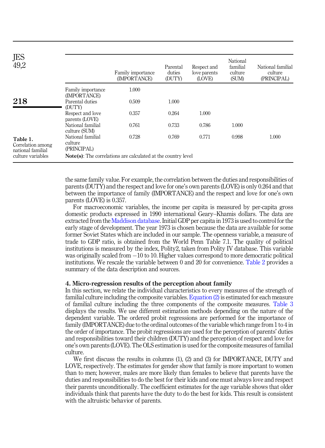<span id="page-6-1"></span>

| JES<br>49,2                                        |                                             | Family importance<br>(IMPORTANCE)                                    | Parental<br>duties<br>(DUTY) | Respect and<br>love parents<br>(LOVE) | National<br>familial<br>culture<br>(SUM) | National familial<br>culture<br>(PRINCIPAL) |
|----------------------------------------------------|---------------------------------------------|----------------------------------------------------------------------|------------------------------|---------------------------------------|------------------------------------------|---------------------------------------------|
|                                                    | Family importance<br>(IMPORTANCE)           | 1.000                                                                |                              |                                       |                                          |                                             |
| 218                                                | Parental duties<br>(DUTY)                   | 0.509                                                                | 1.000                        |                                       |                                          |                                             |
|                                                    | Respect and love<br>parents (LOVE)          | 0.357                                                                | 0.264                        | 1.000                                 |                                          |                                             |
|                                                    | National familial<br>culture (SUM)          | 0.761                                                                | 0.733                        | 0.786                                 | 1.000                                    |                                             |
| Table 1.<br>Correlation among<br>national familial | National familial<br>culture<br>(PRINCIPAL) | 0.728                                                                | 0.769                        | 0.771                                 | 0.998                                    | 1.000                                       |
| culture variables                                  |                                             | <b>Note(s):</b> The correlations are calculated at the country level |                              |                                       |                                          |                                             |

the same family value. For example, the correlation between the duties and responsibilities of parents (DUTY) and the respect and love for one's own parents (LOVE) is only 0.264 and that between the importance of family (IMPORTANCE) and the respect and love for one's own parents (LOVE) is 0.357.

For macroeconomic variables, the income per capita is measured by per-capita gross domestic products expressed in 1990 international Geary–Khamis dollars. The data are extracted from the [Maddison database.](#page-13-1) Initial GDP per capita in 1973 is used to control for the early stage of development. The year 1973 is chosen because the data are available for some former Soviet States which are included in our sample. The openness variable, a measure of trade to GDP ratio, is obtained from the World Penn Table 7.1. The quality of political institutions is measured by the index, Polity2, taken from Polity IV database. This variable was originally scaled from  $-10$  to 10. Higher values correspond to more democratic political institutions. We rescale the variable between 0 and 20 for convenience. [Table 2](#page-7-0) provides a summary of the data description and sources.

#### <span id="page-6-0"></span>4. Micro-regression results of the perception about family

In this section, we relate the individual characteristics to every measures of the strength of familial culture including the composite variables. [Equation \(2\)](#page-4-1) is estimated for each measure of familial culture including the three components of the composite measures. [Table 3](#page-8-0) displays the results. We use different estimation methods depending on the nature of the dependent variable. The ordered probit regressions are performed for the importance of family (IMPORTANCE) due to the ordinal outcomes of the variable which range from 1 to 4 in the order of importance. The probit regressions are used for the perception of parents' duties and responsibilities toward their children (DUTY) and the perception of respect and love for one's own parents (LOVE). The OLS estimation is used for the composite measures of familial culture.

We first discuss the results in columns (1), (2) and (3) for IMPORTANCE, DUTY and LOVE, respectively. The estimates for gender show that family is more important to women than to men; however, males are more likely than females to believe that parents have the duties and responsibilities to do the best for their kids and one must always love and respect their parents unconditionally. The coefficient estimates for the age variable shows that older individuals think that parents have the duty to do the best for kids. This result is consistent with the altruistic behavior of parents.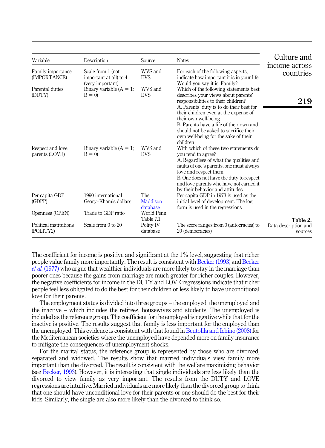<span id="page-7-0"></span>

| Variable                            | Description                                                     | Source                             | <b>Notes</b>                                                                                                                                                                                                            | Culture and                                 |
|-------------------------------------|-----------------------------------------------------------------|------------------------------------|-------------------------------------------------------------------------------------------------------------------------------------------------------------------------------------------------------------------------|---------------------------------------------|
| Family importance<br>(IMPORTANCE)   | Scale from 1 (not<br>important at all) to 4<br>(very important) | WVS and<br><b>EVS</b>              | For each of the following aspects,<br>indicate how important it is in your life.<br>Would you say it is: Family?                                                                                                        | income across<br>countries                  |
| Parental duties<br>(DUTY)           | Binary variable $(A = 1)$ ;<br>$B = 0$                          | WVS and<br><b>EVS</b>              | Which of the following statements best<br>describes your views about parents'<br>responsibilities to their children?<br>A. Parents' duty is to do their best for<br>their children even at the expense of               | 219                                         |
|                                     |                                                                 |                                    | their own well-being<br>B. Parents have a life of their own and<br>should not be asked to sacrifice their<br>own well-being for the sake of their<br>children                                                           |                                             |
| Respect and love<br>parents (LOVE)  | Binary variable $(A = 1)$ ;<br>$B = 0$                          | WVS and<br><b>EVS</b>              | With which of these two statements do<br>you tend to agree?<br>A. Regardless of what the qualities and<br>faults of one's parents, one must always<br>love and respect them<br>B. One does not have the duty to respect |                                             |
|                                     |                                                                 |                                    | and love parents who have not earned it<br>by their behavior and attitudes                                                                                                                                              |                                             |
| Per-capita GDP<br>(GDPP)            | 1990 international<br>Geary-Khamis dollars                      | <b>The</b><br>Maddison<br>database | Per-capita GDP in 1973 is used as the<br>initial level of development. The log<br>form is used in the regressions                                                                                                       |                                             |
| Openness (OPEN)                     | Trade to GDP ratio                                              | World Penn                         |                                                                                                                                                                                                                         |                                             |
| Political institutions<br>(POLITY2) | Scale from 0 to 20                                              | Table 7.1<br>Polity IV<br>database | The score ranges from 0 (autocracies) to<br>20 (democracies)                                                                                                                                                            | Table 2.<br>Data description and<br>sources |

The coefficient for income is positive and significant at the 1% level, suggesting that richer people value family more importantly. The result is consistent with [Becker \(1993\)](#page-13-18) and [Becker](#page-13-19) et al. [\(1977\)](#page-13-19) who argue that wealthier individuals are more likely to stay in the marriage than poorer ones because the gains from marriage are much greater for richer couples. However, the negative coefficients for income in the DUTY and LOVE regressions indicate that richer people feel less obligated to do the best for their children or less likely to have unconditional love for their parents.

The employment status is divided into three groups – the employed, the unemployed and the inactive – which includes the retirees, housewives and students. The unemployed is included as the reference group. The coefficient for the employed is negative while that for the inactive is positive. The results suggest that family is less important for the employed than the unemployed. This evidence is consistent with that found in [Bentolila and Ichino \(2008\)](#page-13-10) for the Mediterranean societies where the unemployed have depended more on family insurance to mitigate the consequences of unemployment shocks.

For the marital status, the reference group is represented by those who are divorced, separated and widowed. The results show that married individuals view family more important than the divorced. The result is consistent with the welfare maximizing behavior (see [Becker, 1993](#page-13-18)). However, it is interesting that single individuals are less likely than the divorced to view family as very important. The results from the DUTY and LOVE regressions are intuitive. Married individuals are more likely than the divorced group to think that one should have unconditional love for their parents or one should do the best for their kids. Similarly, the single are also more likely than the divorced to think so.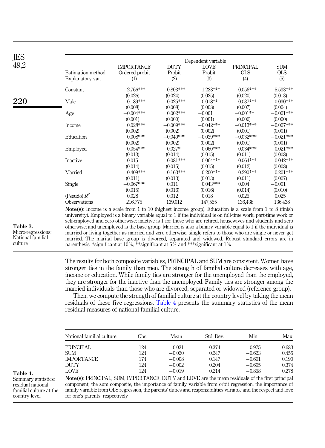<span id="page-8-0"></span>

| JES  |                                                                                                                                                                                                                                     |                       |               | Dependent variable |                   |                   |
|------|-------------------------------------------------------------------------------------------------------------------------------------------------------------------------------------------------------------------------------------|-----------------------|---------------|--------------------|-------------------|-------------------|
| 49,2 |                                                                                                                                                                                                                                     | <b>IMPORTANCE</b>     | <b>DUTY</b>   | LOVE               | PRINCIPAL         | <b>SUM</b>        |
|      | Estimation method<br>Explanatory var.                                                                                                                                                                                               | Ordered probit<br>(1) | Probit<br>(2) | Probit<br>(3)      | <b>OLS</b><br>(4) | <b>OLS</b><br>(5) |
|      | Constant                                                                                                                                                                                                                            | 2.766***              | $0.803***$    | 1.223***           | $0.056***$        | 5.533***          |
|      |                                                                                                                                                                                                                                     | (0.026)               | (0.024)       | (0.025)            | (0.020)           | (0.013)           |
| 220  | Male                                                                                                                                                                                                                                | $-0.189***$           | $0.025***$    | $0.018**$          | $-0.037***$       | $-0.030***$       |
|      |                                                                                                                                                                                                                                     | (0.008)               | (0.008)       | (0.008)            | (0.007)           | (0.004)           |
|      | Age                                                                                                                                                                                                                                 | $-0.004***$           | $0.002***$    | $-0.001$           | $-0.001**$        | $-0.001***$       |
|      |                                                                                                                                                                                                                                     | (0.001)               | (0.000)       | (0.001)            | (0.000)           | (0.000)           |
|      | Income                                                                                                                                                                                                                              | $0.028***$            | $-0.009***$   | $-0.042***$        | $-0.013***$       | $-0.007***$       |
|      |                                                                                                                                                                                                                                     | (0.002)               | (0.002)       | (0.002)            | (0.001)           | (0.001)           |
|      | Education                                                                                                                                                                                                                           | $0.008***$            | $-0.040***$   | $-0.039***$        | $-0.032***$       | $-0.021***$       |
|      |                                                                                                                                                                                                                                     | (0.002)               | (0.002)       | (0.002)            | (0.001)           | (0.001)           |
|      | Employed                                                                                                                                                                                                                            | $-0.054***$           | $-0.027*$     | $-0.060***$        | $-0.034***$       | $-0.021***$       |
|      |                                                                                                                                                                                                                                     | (0.013)               | (0.014)       | (0.015)            | (0.011)           | (0.008)           |
|      | Inactive                                                                                                                                                                                                                            | 0.015                 | $0.081***$    | $0.064***$         | $0.064***$        | $0.042***$        |
|      |                                                                                                                                                                                                                                     | (0.014)               | (0.015)       | (0.015)            | (0.012)           | (0.008)           |
|      | Married                                                                                                                                                                                                                             | $0.409***$            | $0.163***$    | $0.200***$         | $0.290***$        | $0.201***$        |
|      |                                                                                                                                                                                                                                     | (0.011)               | (0.013)       | (0.013)            | (0.011)           | (0.007)           |
|      | Single                                                                                                                                                                                                                              | $-0.067***$           | 0.011         | $0.043***$         | 0.004             | $-0.001$          |
|      |                                                                                                                                                                                                                                     | (0.015)               | (0.016)       | (0.016)            | (0.014)           | (0.010)           |
|      | (Pseudo) $R^2$                                                                                                                                                                                                                      | 0.028                 | 0.012         | 0.018              | 0.025             | 0.025             |
|      | Observations                                                                                                                                                                                                                        | 216,775               | 139,012       | 147,555            | 136,438           | 136,438           |
|      | <b>Note(s)</b> : Income is a scale from 1 to 10 (highest income group). Education is a scale from 1 to 8 (finish<br>university). Employed is a binary variable equal to 1 if the individual is on full-time work, part-time work or |                       |               |                    |                   |                   |
|      | self-employed and zero otherwise; inactive is 1 for those who are retired, housewives and students and zero                                                                                                                         |                       |               |                    |                   |                   |

parenthesis; \*significant at  $10\%$ , \*\*significant at  $5\%$  and \*\*\*significant at  $1\%$ 

Table 3. Micro-regressions: National familial culture

> The results for both composite variables, PRINCIPAL and SUM are consistent. Women have stronger ties in the family than men. The strength of familial culture decreases with age, income or education. While family ties are stronger for the unemployed than the employed, they are stronger for the inactive than the unemployed. Family ties are stronger among the married individuals than those who are divorced, separated or widowed (reference group).

> otherwise; and unemployed is the base group. Married is also a binary variable equal to 1 if the individual is married or living together as married and zero otherwise; single refers to those who are single or never get married. The marital base group is divorced, separated and widowed. Robust standard errors are in

> Then, we compute the strength of familial culture at the country level by taking the mean residuals of these five regressions. Table 4 presents the summary statistics of the mean residual measures of national familial culture.

| National familial culture | Obs. | Mean     | Std. Dev. | Min      | Max   |
|---------------------------|------|----------|-----------|----------|-------|
| PRINCIPAL                 | 124  | $-0.031$ | 0.374     | $-0.975$ | 0.683 |
| <b>SUM</b>                | 124  | $-0.020$ | 0.247     | $-0.623$ | 0.455 |
| <b>IMPORTANCE</b>         | 174  | $-0.008$ | 0.147     | $-0.601$ | 0.190 |
| DUTY                      | 124  | $-0.002$ | 0.204     | $-0.605$ | 0.374 |
| LOVE                      | 124  | $-0.019$ | 0.214     | $-0.858$ | 0.278 |

Table 4.

Summary statistics: residual national familial culture at the country level

Note(s): PRINCIPAL, SUM, IMPORTANCE, DUTY and LOVE are the mean residuals of the first principal component, the sum composite, the importance of family variable from orbit regression, the importance of family variable from OLS regression, the parents' duties and responsibilities variable and the respect and love for one's parents, respectively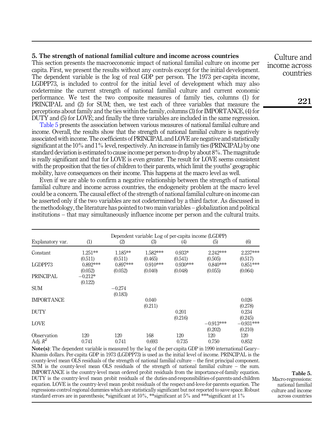#### <span id="page-9-0"></span>5. The strength of national familial culture and income across countries

This section presents the macroeconomic impact of national familial culture on income per capita. First, we present the results without any controls except for the initial development. The dependent variable is the log of real GDP per person. The 1973 per-capita income, LGDPP73, is included to control for the initial level of development which may also codetermine the current strength of national familial culture and current economic performance. We test the two composite measures of family ties, columns (1) for PRINCIPAL and (2) for SUM; then, we test each of three variables that measure the perceptions about family and the ties within the family, columns (3) for IMPORTANCE, (4) for DUTY and (5) for LOVE; and finally the three variables are included in the same regression.

Table 5 presents the association between various measures of national familial culture and income. Overall, the results show that the strength of national familial culture is negatively associated with income. The coefficients of PRINCIPAL and LOVE are negative and statistically significant at the 10% and 1% level, respectively. An increase in family ties (PRINCIPAL) by one standard deviation is estimated to cause income per person to drop by about 8%. The magnitude is really significant and that for LOVE is even greater. The result for LOVE seems consistent with the proposition that the ties of children to their parents, which limit the youths' geographic mobility, have consequences on their income. This happens at the macro level as well.

Even if we are able to confirm a negative relationship between the strength of national familial culture and income across countries, the endogeneity problem at the macro level could be a concern. The causal effect of the strength of national familial culture on income can be asserted only if the two variables are not codetermined by a third factor. As discussed in the methodology, the literature has pointed to two main variables – globalization and political institutions – that may simultaneously influence income per person and the cultural traits.

|                           |                      |                       |                       | Dependent variable: Log of per-capita income (LGDPP) |                        |                        |
|---------------------------|----------------------|-----------------------|-----------------------|------------------------------------------------------|------------------------|------------------------|
| Explanatory var.          | (1)                  | (2)                   | (3)                   | $\left( 4\right)$                                    | (5)                    | (6)                    |
| Constant                  | $1.251**$<br>(0.511) | $1.185**$<br>(0.511)  | 1.582***<br>(0.465)   | $0.933*$<br>(0.541)                                  | 2.242***<br>(0.505)    | 2.237***<br>(0.517)    |
| LGDPP73                   | 0.892***<br>(0.052)  | $0.897***$<br>(0.052) | $0.910***$<br>(0.040) | $0.930***$<br>(0.048)                                | $0.840***$<br>(0.055)  | $0.851***$<br>(0.064)  |
| <b>PRINCIPAL</b>          | $-0.212*$<br>(0.122) |                       |                       |                                                      |                        |                        |
| <b>SUM</b>                |                      | $-0.274$<br>(0.183)   |                       |                                                      |                        |                        |
| <b>IMPORTANCE</b>         |                      |                       | 0.040<br>(0.211)      |                                                      |                        | 0.026<br>(0.278)       |
| <b>DUTY</b>               |                      |                       |                       | 0.201<br>(0.216)                                     |                        | 0.234<br>(0.245)       |
| <b>LOVE</b>               |                      |                       |                       |                                                      | $-0.913***$<br>(0.202) | $-0.931***$<br>(0.210) |
| Observation<br>Adj. $R^2$ | 120<br>0.741         | 120<br>0.741          | 168<br>0.693          | 120<br>0.735                                         | 120<br>0.750           | 120<br>0.852           |

Note(s): The dependent variable is measured by the log of the per-capita GDP in 1990 international Geary– Khamis dollars. Per-capita GDP in 1973 (LGDPP73) is used as the initial level of income. PRINCIPAL is the county-level mean OLS residuals of the strength of national familial culture – the first principal component. SUM is the county-level mean OLS residuals of the strength of national familial culture – the sum. IMPORTANCE is the country-level mean ordered probit residuals from the importance-of-family equation. DUTY is the country-level mean probit residuals of the duties-and-responsibilities-of-parents-and-children equation. LOVE is the country-level mean probit residuals of the respect-and-love-for-parents equation. The regressions control regional dummies which are statistically significant but not reported to save space. Robust standard errors are in parenthesis; \*significant at 10%, \*\*significant at 5% and \*\*\*significant at 1%

Table 5. Macro-regressions: national familial

culture and income across countries

countries

Culture and income across

221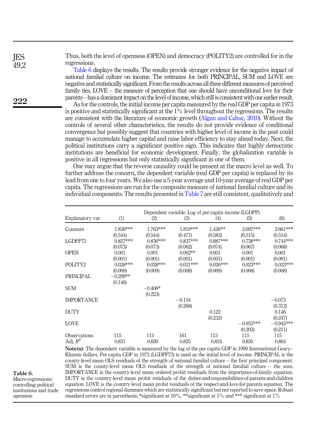Thus, both the level of openness (OPEN) and democracy (POLITY2) are controlled for in the regressions.

Table 6 displays the results. The results provide stronger evidence for the negative impact of national familial culture on income. The estimates for both PRINCIPAL, SUM and LOVE are negative and statistically significant. From the results across all three different measures of perceived family ties, LOVE – the measure of perception that one should have unconditional love for their parents –has a dominant impact on the level of income, which still is consistent with our earlier result.

As for the controls, the initial income per capita measured by the real GDP per capita in 1973 is positive and statistically significant at the 1% level throughout the regressions. The results are consistent with the literature of economic growth ([Algan and Cahuc, 2010\)](#page-13-2). Without the controls of several other characteristics, the results do not provide evidence of conditional convergence but possibly suggest that countries with higher level of income in the past could manage to accumulate higher capital and raise labor efficiency to stay ahead today. Next, the political institutions carry a significant positive sign. This indicates that highly democratic institutions are beneficial for economic development. Finally, the globalization variable is positive in all regressions but only statistically significant in one of them.

One may argue that the reverse causality could be present at the macro level as well. To further address the concern, the dependent variable (real GDP per capita) is replaced by its lead from one to four years. We also use a 5-year average and 10-year average of real GDP per capita. The regressions are run for the composite measure of national familial culture and its individual components. The results presented in [Table 7](#page-11-0) are still consistent, qualitatively and

| (6)<br>2.661***<br>(0.514) |
|----------------------------|
|                            |
|                            |
| $0.744***$<br>(0.068)      |
| 0.001<br>(0.001)           |
| $0.023***$                 |
| (0.008)                    |
|                            |
| $-0.073$                   |
| (0.312)<br>0.146           |
| (0.247)<br>$-0.945***$     |
| (0.211)<br>115<br>0.864    |
|                            |

Note(s): The dependent variable is measured by the log of the per-capita GDP in 1990 International Geary– Khamis dollars. Per-capita GDP in 1973 (LGDPP73) is used as the initial level of income. PRINCIPAL is the county-level mean OLS residuals of the strength of national familial culture – the first principal component. SUM is the county-level mean OLS residuals of the strength of national familial culture – the sum. IMPORTANCE is the country-level mean ordered probit residuals from the importance-of-family equation. DUTY is the country-level mean probit residuals of the duties-and-responsibilities-of-parents-and-children equation. LOVE is the country-level mean probit residuals of the respect-and-love-for-parents equation. The regressions control regional dummies which are statistically significant but not reported to save space. Robust standard errors are in parenthesis; \*significant at 10%, \*\*significant at 5% and \*\*\* significant at 1%

222

**IES** 492

Table 6.

Macro-regressions: controlling political institutions and trade openness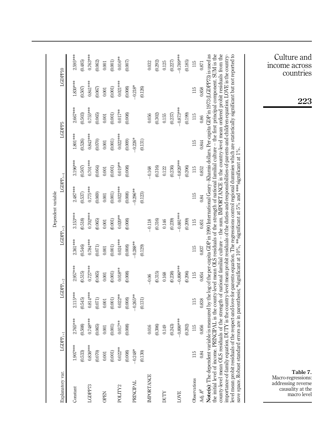<span id="page-11-0"></span>

|                                                                                                                                                                                                                                                                                                                                                                                                                                                                                                                                                                                                                                                                                                                                                                                                                                                                                                                                                                                                          |                      |              |                     |             |                     | Dependent variable |                     |             |            |             |            |                              |
|----------------------------------------------------------------------------------------------------------------------------------------------------------------------------------------------------------------------------------------------------------------------------------------------------------------------------------------------------------------------------------------------------------------------------------------------------------------------------------------------------------------------------------------------------------------------------------------------------------------------------------------------------------------------------------------------------------------------------------------------------------------------------------------------------------------------------------------------------------------------------------------------------------------------------------------------------------------------------------------------------------|----------------------|--------------|---------------------|-------------|---------------------|--------------------|---------------------|-------------|------------|-------------|------------|------------------------------|
| Explanatory var.                                                                                                                                                                                                                                                                                                                                                                                                                                                                                                                                                                                                                                                                                                                                                                                                                                                                                                                                                                                         | $\text{LGDPP}_{t+1}$ |              | $\text{LGDP}_{t+2}$ |             | $\text{LGDP}_{t+3}$ |                    | $\text{LGDP}_{t+4}$ |             | LGDPP5     |             | LGDPP10    |                              |
| Constant                                                                                                                                                                                                                                                                                                                                                                                                                                                                                                                                                                                                                                                                                                                                                                                                                                                                                                                                                                                                 | $1.907***$           | 2.765***     | $2.115***$          | 2.957***    | 2.361***            | $3.153***$         | $2.487***$          | 3.196***    | 1.801 ***  | 2.667****   | $1.830***$ | 2.595 ****                   |
|                                                                                                                                                                                                                                                                                                                                                                                                                                                                                                                                                                                                                                                                                                                                                                                                                                                                                                                                                                                                          | (0.533)              | (0.508)      | (0.545)             | (0.515)     | (0.546)             | (0.518)            | (0.537)             | (0.507)     | (0.526)    | (0.503)     | (0.507)    | (0.485)                      |
| LGDPP73                                                                                                                                                                                                                                                                                                                                                                                                                                                                                                                                                                                                                                                                                                                                                                                                                                                                                                                                                                                                  | $0.836***$           | 0.748***     | $0.814***$          | $0.727***$  | $0.784***$          | $0.702***$         | $0.775***$          | $0.701***$  | 0.843****  | $0.755***$  | 0.841 ***  | 0.763****                    |
|                                                                                                                                                                                                                                                                                                                                                                                                                                                                                                                                                                                                                                                                                                                                                                                                                                                                                                                                                                                                          | (0.070)              | (0.065)      | (0.071)             | (0.065)     | (0.071)             | (0.065)            | (0.069)             | (0.064)     | (0.070)    | (0.065)     | (0.067)    | (0.062)                      |
| <b>OPEN</b>                                                                                                                                                                                                                                                                                                                                                                                                                                                                                                                                                                                                                                                                                                                                                                                                                                                                                                                                                                                              | $0.001\,$            | $0.001\,$    | 0.001               | $0.001\,$   | 0.001               | 0.001              | $0.001\,$           | 0.001       | 0.001      | 0.001       | 0.001      | 0.001                        |
|                                                                                                                                                                                                                                                                                                                                                                                                                                                                                                                                                                                                                                                                                                                                                                                                                                                                                                                                                                                                          | (0.001)              | (0.001)      | (0.001)             | (0.001)     | (0.001)             | (0.001)            | (0.001)             | (0.001)     | (0.001)    | (0.001)     | (0.001)    | (0.001)                      |
| POLITY <sub>2</sub>                                                                                                                                                                                                                                                                                                                                                                                                                                                                                                                                                                                                                                                                                                                                                                                                                                                                                                                                                                                      | $0.022***$           | $0.017***$   | $0.022***$          | $0.018***$  | $0.024***$          | $0.020***$         | $0.022***$          | $0.019***$  | $0.022***$ | $0.017***$  | $0.021***$ | $0.016***$                   |
|                                                                                                                                                                                                                                                                                                                                                                                                                                                                                                                                                                                                                                                                                                                                                                                                                                                                                                                                                                                                          | (0.008)              | (0.008)      | (0.008)             | (0.008)     | (0.008)             | (0.008)            | (0.008)             | (0.008)     | (0.009)    | (0.008)     | (0.008)    | (0.007)                      |
| PRINCIPAL                                                                                                                                                                                                                                                                                                                                                                                                                                                                                                                                                                                                                                                                                                                                                                                                                                                                                                                                                                                                | $-0.248*$            |              | $-0.265***$         |             | $-0.288***$         |                    | $-0.296***$         |             | $-0.226*$  |             | $-0.218*$  |                              |
|                                                                                                                                                                                                                                                                                                                                                                                                                                                                                                                                                                                                                                                                                                                                                                                                                                                                                                                                                                                                          | (0.130)              |              | (0.131)             |             | (0.129)             |                    | (0.123)             |             | (0.131)    |             | (0.126)    |                              |
| <b>IMPORTANCE</b>                                                                                                                                                                                                                                                                                                                                                                                                                                                                                                                                                                                                                                                                                                                                                                                                                                                                                                                                                                                        |                      | 0.016        |                     | $-0.06$     |                     | $-0.118$           |                     | $-0.168$    |            | 0.056       |            | 0.032                        |
|                                                                                                                                                                                                                                                                                                                                                                                                                                                                                                                                                                                                                                                                                                                                                                                                                                                                                                                                                                                                          |                      | (0.306)      |                     | (0.315)     |                     | (0.316)            |                     | (0.316)     |            | (0.302)     |            | (0.292)                      |
| <b>NLIN</b>                                                                                                                                                                                                                                                                                                                                                                                                                                                                                                                                                                                                                                                                                                                                                                                                                                                                                                                                                                                              |                      | 0.149        |                     | 0.168       |                     | 0.146              |                     | 0.122       |            | 0.155       |            | 0.125                        |
|                                                                                                                                                                                                                                                                                                                                                                                                                                                                                                                                                                                                                                                                                                                                                                                                                                                                                                                                                                                                          |                      | (0.243)      |                     | (0.238)     |                     | (0.239)            |                     | (0.236)     |            | (0.237)     |            | (0.227)                      |
| LOVE                                                                                                                                                                                                                                                                                                                                                                                                                                                                                                                                                                                                                                                                                                                                                                                                                                                                                                                                                                                                     |                      | $-0.890$ *** |                     | $-0.896***$ |                     | $-0.881***$        |                     | $-0.826***$ |            | $-0.873***$ |            | $-0.789***$                  |
|                                                                                                                                                                                                                                                                                                                                                                                                                                                                                                                                                                                                                                                                                                                                                                                                                                                                                                                                                                                                          |                      | (0.202)      |                     | (0.206)     |                     | (0.209)            |                     | (0.206)     |            | (0.199)     |            | (0.185)                      |
| Observations                                                                                                                                                                                                                                                                                                                                                                                                                                                                                                                                                                                                                                                                                                                                                                                                                                                                                                                                                                                             | 115                  | 115          | 115                 | 115         | 115                 | 115                | 115                 | 115         | 115        | 115         | 115        | 115                          |
| Adj. $\mathbb{R}^2$                                                                                                                                                                                                                                                                                                                                                                                                                                                                                                                                                                                                                                                                                                                                                                                                                                                                                                                                                                                      | 0.84                 | 0.856        | 0.838               | 0.854       | 0.837               | 0.851              | 0.84                | 0.852       | 0.844      | 0.86        | 0.858      | 0.871                        |
| Note (s): The dependent variable is measured by the log of the per-capita GDP in 1990 International Geary-Khamis dollars. Per-capita GDP in 1973 (LGDPP73) is used as<br>the initial level of income. PRINCIPAL is the county-level mean OLS residuals of the strength of national familial culture – the first principal component. SUM is the<br>county-level mean OLS residuals of the strength of national familial culture – the sum. IMPORTANCE is the country-level mean ordered probit residuals from the<br>importance-of-family equation. DUTY is the country-level mean probit residuals of the duties-and-responsibilities-of-parents and-children equation. LOVE is the country-<br>level mean probit residuals of the respect and-love-for-parents equation. The regressions control regional dummies which are statistically significant but not reported to<br>save space. Robust standard errors are in parenthesis; *significant at 10%, **significant at 5% and ***significant at 1%. |                      |              |                     |             |                     |                    |                     |             |            |             |            |                              |
|                                                                                                                                                                                                                                                                                                                                                                                                                                                                                                                                                                                                                                                                                                                                                                                                                                                                                                                                                                                                          |                      |              |                     |             |                     |                    |                     |             |            |             |            |                              |
|                                                                                                                                                                                                                                                                                                                                                                                                                                                                                                                                                                                                                                                                                                                                                                                                                                                                                                                                                                                                          |                      |              |                     |             |                     |                    |                     |             |            |             |            |                              |
| Macro-regressions:<br>addressing reverse<br>causality at the                                                                                                                                                                                                                                                                                                                                                                                                                                                                                                                                                                                                                                                                                                                                                                                                                                                                                                                                             |                      |              |                     |             |                     |                    |                     |             |            |             |            | Culture and<br>income across |
| macro level                                                                                                                                                                                                                                                                                                                                                                                                                                                                                                                                                                                                                                                                                                                                                                                                                                                                                                                                                                                              |                      |              |                     |             |                     |                    |                     |             |            |             |            | countries                    |
| Table 7.                                                                                                                                                                                                                                                                                                                                                                                                                                                                                                                                                                                                                                                                                                                                                                                                                                                                                                                                                                                                 |                      |              |                     |             |                     |                    |                     |             |            |             | 223        |                              |

 $\frac{23}{2}$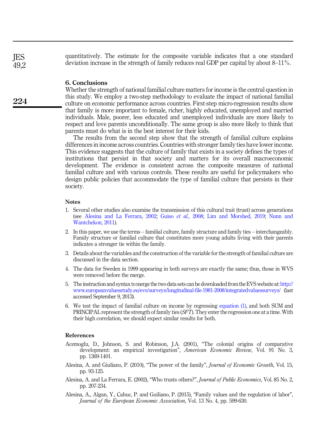quantitatively. The estimate for the composite variable indicates that a one standard deviation increase in the strength of family reduces real GDP per capital by about 8–11%.

#### <span id="page-12-2"></span>6. Conclusions

Whether the strength of national familial culture matters for income is the central question in this study. We employ a two-step methodology to evaluate the impact of national familial culture on economic performance across countries. First-step micro-regression results show that family is more important to female, richer, highly educated, unemployed and married individuals. Male, poorer, less educated and unemployed individuals are more likely to respect and love parents unconditionally. The same group is also more likely to think that parents must do what is in the best interest for their kids.

The results from the second step show that the strength of familial culture explains differences in income across countries. Countries with stronger family ties have lower income. This evidence suggests that the culture of family that exists in a society defines the types of institutions that persist in that society and matters for its overall macroeconomic development. The evidence is consistent across the composite measures of national familial culture and with various controls. These results are useful for policymakers who design public policies that accommodate the type of familial culture that persists in their society.

#### <span id="page-12-0"></span>**Notes**

- 1. Several other studies also examine the transmission of this cultural trait (trust) across generations (see [Alesina and La Ferrara, 2002;](#page-12-10) Guiso et al[., 2008](#page-13-20); [Lim and Morshed, 2019](#page-13-21); [Nunn and](#page-13-22) [Wantchekon, 2011](#page-13-22)).
- <span id="page-12-1"></span>2. In this paper, we use the terms – familial culture, family structure and family ties – interchangeably. Family structure or familial culture that constitutes more young adults living with their parents indicates a stronger tie within the family.
- <span id="page-12-6"></span>3. Details about the variables and the construction of the variable for the strength of familial culture are discussed in the data section.
- <span id="page-12-7"></span>4. The data for Sweden in 1999 appearing in both surveys are exactly the same; thus, those in WVS were removed before the merge.
- <span id="page-12-8"></span>5. The instruction and syntax to merge the two data sets can be downloaded from the EVS website at: [http://](http://www.europeanvaluesstudy.eu/evs/surveys/longitudinal-file-1981-2008/integratedvaluessurveys/) [www.europeanvaluesstudy.eu/evs/surveys/longitudinal-file-1981-2008/integratedvaluessurveys/](http://www.europeanvaluesstudy.eu/evs/surveys/longitudinal-file-1981-2008/integratedvaluessurveys/) (last accessed September 9, 2013).
- <span id="page-12-9"></span>6. We test the impact of familial culture on income by regressing [equation \(1\),](#page-4-2) and both SUM and PRINCIPAL represent the strength of family ties (SFT). They enter the regression one at a time. With their high correlation, we should expect similar results for both.

#### <span id="page-12-5"></span>References

- Acemoglu, D., Johnson, S. and Robinson, J.A. (2001), "The colonial origins of comparative development: an empirical investigation", American Economic Review, Vol. 91 No. 3, pp. 1369-1401.
- <span id="page-12-3"></span>Alesina, A. and Giuliano, P. (2010), "The power of the family", Journal of Economic Growth, Vol. 15, pp. 93-125.
- <span id="page-12-10"></span>Alesina, A. and La Ferrara, E. (2002), "Who trusts others?", Journal of Public Economics, Vol. 85 No. 2, pp. 207-234.
- <span id="page-12-4"></span>Alesina, A., Algan, Y., Cahuc, P. and Guiliano, P. (2015), "Family values and the regulation of labor", Journal of the European Economic Association, Vol. 13 No. 4, pp. 599-630.

**IES** 49,2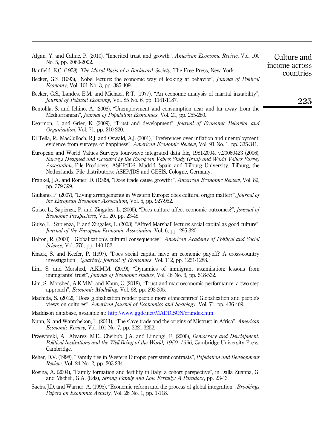<span id="page-13-2"></span>

|                       | Algan, Y. and Cahuc, P. (2010), "Inherited trust and growth", <i>American Economic Review</i> , Vol. 100 | Culture and   |
|-----------------------|----------------------------------------------------------------------------------------------------------|---------------|
| No. 5, pp. 2060-2092. |                                                                                                          | income across |

<span id="page-13-12"></span>Banfield, E.C. (1958), The Moral Basis of a Backward Society, The Free Press, New York.

- <span id="page-13-18"></span>Becker, G.S. (1993), "Nobel lecture: the economic way of looking at behavior", Journal of Political Economy, Vol. 101 No. 3, pp. 385-409.
- <span id="page-13-19"></span>Becker, G.S., Landes, E.M. and Michael, R.T. (1977), "An economic analysis of marital instability", Journal of Political Economy, Vol. 85 No. 6, pp. 1141-1187.
- <span id="page-13-10"></span>Bentolila, S. and Ichino, A. (2008), "Unemployment and consumption near and far away from the Mediterranean", Journal of Population Economics, Vol. 21, pp. 255-280.
- <span id="page-13-3"></span>Dearmon, J. and Grier, K. (2009), "Trust and development", *Journal of Economic Behavior and* Organization, Vol. 71, pp. 210-220.
- <span id="page-13-7"></span>Di Tella, R., MacCulloch, R.J. and Oswald, A.J. (2001), "Preferences over inflation and unemployment: evidence from surveys of happiness", *American Economic Review*, Vol. 91 No. 1, pp. 335-341.
- <span id="page-13-0"></span>European and World Values Surveys four-wave integrated data file, 1981-2004, v.20060423 (2006), Surveys Designed and Executed by the European Values Study Group and World Values Survey Association, File Producers: ASEP/JDS, Madrid, Spain and Tilburg University, Tilburg, the Netherlands. File distributors: ASEP/JDS and GESIS, Cologne, Germany.
- <span id="page-13-14"></span>Frankel, J.A. and Romer, D. (1999), "Does trade cause growth?", American Economic Review, Vol. 89, pp. 379-399.
- <span id="page-13-9"></span>Giuliano, P. (2007), "Living arrangements in Western Europe: does cultural origin matter?", *Journal of* the European Economic Association, Vol. 5, pp. 927-952.
- <span id="page-13-4"></span>Guiso, L., Sapienza, P. and Zingales, L. (2005), "Does culture affect economic outcomes?", *Journal of* Economic Perspectives, Vol. 20, pp. 23-48.
- <span id="page-13-20"></span>Guiso, L., Sapienza, P. and Zingales, L. (2008), "Alfred Marshall lecture: social capital as good culture", Journal of the European Economic Association, Vol. 6, pp. 295-320.
- <span id="page-13-15"></span>Holton, R. (2000), "Globalization's cultural consequences", American Academy of Political and Social Science, Vol. 570, pp. 140-152.
- <span id="page-13-5"></span>Knack, S. and Keefer, P. (1997), "Does social capital have an economic payoff? A cross-country investigation", Quarterly Journal of Economics, Vol. 112, pp. 1251-1288.
- <span id="page-13-21"></span>Lim, S. and Morshed, A.K.M.M. (2019), "Dynamics of immigrant assimilation: lessons from immigrants' trust", Journal of Economic studies, Vol. 46 No. 3, pp. 518-532.
- <span id="page-13-6"></span>Lim, S., Morshed, A.K.M.M. and Khun, C. (2018), "Trust and macroeconomic performance: a two-step approach", Economic Modelling, Vol. 68, pp. 293-305.
- <span id="page-13-16"></span>Machida, S. (2012), "Does globalization render people more ethnocentric? Globalization and people's views on cultures", American Journal of Economics and Sociology, Vol. 71, pp. 436-469.
- <span id="page-13-1"></span>Maddison database, available at: <http://www.ggdc.net/MADDISON/oriindex.htm>.
- <span id="page-13-22"></span>Nunn, N. and Wantchekon, L. (2011), "The slave trade and the origins of Mistrust in Africa", American Economic Review, Vol. 101 No. 7, pp. 3221-3252.
- <span id="page-13-17"></span>Przeworski, A., Alvarez, M.E., Cheibub, J.A. and Limongi, F. (2000), *Democracy and Development:* Political Institutions and the Well-Being of the World, 1950–1990, Cambridge University Press, Cambridge.
- <span id="page-13-8"></span>Reher, D.V. (1998), "Family ties in Western Europe: persistent contrasts", Population and Development Review, Vol. 24 No. 2, pp. 203-234.
- <span id="page-13-11"></span>Rosina, A. (2004), "Family formation and fertility in Italy: a cohort perspective", in Dalla Zuanna, G. and Micheli, G.A. (Eds), Strong Family and Low Fertility: A Paradox?, pp. 23-43.
- <span id="page-13-13"></span>Sachs, J.D. and Warner, A. (1995), "Economic reform and the process of global integration", Brookings Papers on Economic Activity, Vol. 26 No. 1, pp. 1-118.

225

Culture and

countries